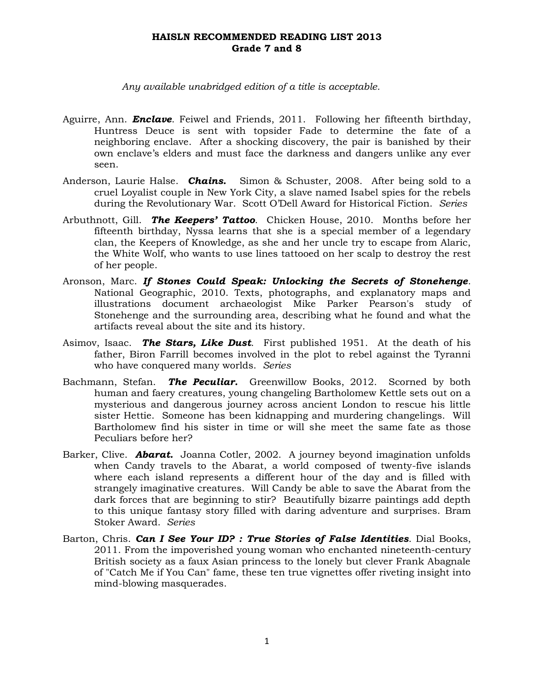*Any available unabridged edition of a title is acceptable.*

- Aguirre, Ann. *Enclave*. Feiwel and Friends, 2011. Following her fifteenth birthday, Huntress Deuce is sent with topsider Fade to determine the fate of a neighboring enclave. After a shocking discovery, the pair is banished by their own enclave's elders and must face the darkness and dangers unlike any ever seen.
- Anderson, Laurie Halse. *Chains.* Simon & Schuster, 2008. After being sold to a cruel Loyalist couple in New York City, a slave named Isabel spies for the rebels during the Revolutionary War. Scott O'Dell Award for Historical Fiction. *Series*
- Arbuthnott, Gill. *The Keepers' Tattoo*. Chicken House, 2010. Months before her fifteenth birthday, Nyssa learns that she is a special member of a legendary clan, the Keepers of Knowledge, as she and her uncle try to escape from Alaric, the White Wolf, who wants to use lines tattooed on her scalp to destroy the rest of her people.
- Aronson, Marc. *If Stones Could Speak: Unlocking the Secrets of Stonehenge*. National Geographic, 2010. Texts, photographs, and explanatory maps and illustrations document archaeologist Mike Parker Pearson's study of Stonehenge and the surrounding area, describing what he found and what the artifacts reveal about the site and its history.
- Asimov, Isaac. *The Stars, Like Dust*. First published 1951. At the death of his father, Biron Farrill becomes involved in the plot to rebel against the Tyranni who have conquered many worlds. *Series*
- Bachmann, Stefan. *The Peculiar.* Greenwillow Books, 2012. Scorned by both human and faery creatures, young changeling Bartholomew Kettle sets out on a mysterious and dangerous journey across ancient London to rescue his little sister Hettie. Someone has been kidnapping and murdering changelings. Will Bartholomew find his sister in time or will she meet the same fate as those Peculiars before her?
- Barker, Clive. *Abarat.* Joanna Cotler, 2002. A journey beyond imagination unfolds when Candy travels to the Abarat, a world composed of twenty-five islands where each island represents a different hour of the day and is filled with strangely imaginative creatures. Will Candy be able to save the Abarat from the dark forces that are beginning to stir? Beautifully bizarre paintings add depth to this unique fantasy story filled with daring adventure and surprises. Bram Stoker Award. *Series*
- Barton, Chris. *Can I See Your ID? : True Stories of False Identities*. Dial Books, 2011. From the impoverished young woman who enchanted nineteenth-century British society as a faux Asian princess to the lonely but clever Frank Abagnale of "Catch Me if You Can" fame, these ten true vignettes offer riveting insight into mind-blowing masquerades.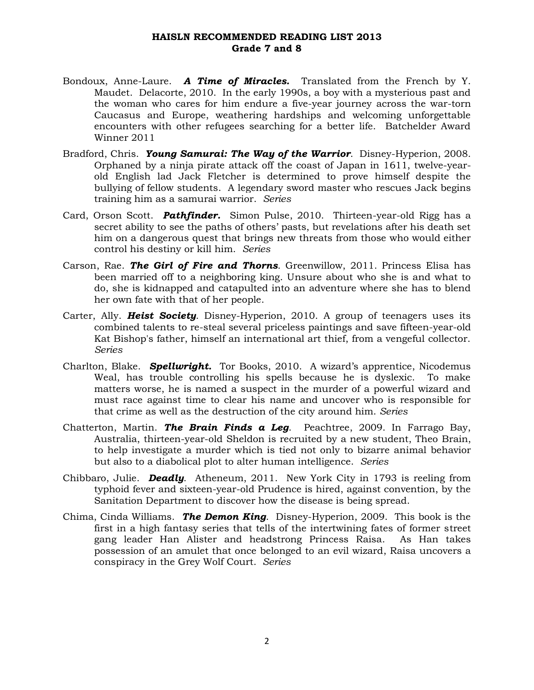- Bondoux, Anne-Laure. *A Time of Miracles.* Translated from the French by Y. Maudet. Delacorte, 2010. In the early 1990s, a boy with a mysterious past and the woman who cares for him endure a five-year journey across the war-torn Caucasus and Europe, weathering hardships and welcoming unforgettable encounters with other refugees searching for a better life. Batchelder Award Winner 2011
- Bradford, Chris. *Young Samurai: The Way of the Warrior*. Disney-Hyperion, 2008. Orphaned by a ninja pirate attack off the coast of Japan in 1611, twelve-yearold English lad Jack Fletcher is determined to prove himself despite the bullying of fellow students. A legendary sword master who rescues Jack begins training him as a samurai warrior. *Series*
- Card, Orson Scott. *Pathfinder.* Simon Pulse, 2010. Thirteen-year-old Rigg has a secret ability to see the paths of others' pasts, but revelations after his death set him on a dangerous quest that brings new threats from those who would either control his destiny or kill him. *Series*
- Carson, Rae. *The Girl of Fire and Thorns*. Greenwillow, 2011. Princess Elisa has been married off to a neighboring king. Unsure about who she is and what to do, she is kidnapped and catapulted into an adventure where she has to blend her own fate with that of her people.
- Carter, Ally. *Heist Society*. Disney-Hyperion, 2010. A group of teenagers uses its combined talents to re-steal several priceless paintings and save fifteen-year-old Kat Bishop's father, himself an international art thief, from a vengeful collector. *Series*
- Charlton, Blake. *Spellwright.* Tor Books, 2010. A wizard's apprentice, Nicodemus Weal, has trouble controlling his spells because he is dyslexic. To make matters worse, he is named a suspect in the murder of a powerful wizard and must race against time to clear his name and uncover who is responsible for that crime as well as the destruction of the city around him. *Series*
- Chatterton, Martin. *The Brain Finds a Leg*. Peachtree, 2009. In Farrago Bay, Australia, thirteen-year-old Sheldon is recruited by a new student, Theo Brain, to help investigate a murder which is tied not only to bizarre animal behavior but also to a diabolical plot to alter human intelligence. *Series*
- Chibbaro, Julie. *Deadly*. Atheneum, 2011. New York City in 1793 is reeling from typhoid fever and sixteen-year-old Prudence is hired, against convention, by the Sanitation Department to discover how the disease is being spread.
- Chima, Cinda Williams. *The Demon King*. Disney-Hyperion, 2009. This book is the first in a high fantasy series that tells of the intertwining fates of former street gang leader Han Alister and headstrong Princess Raisa. As Han takes possession of an amulet that once belonged to an evil wizard, Raisa uncovers a conspiracy in the Grey Wolf Court. *Series*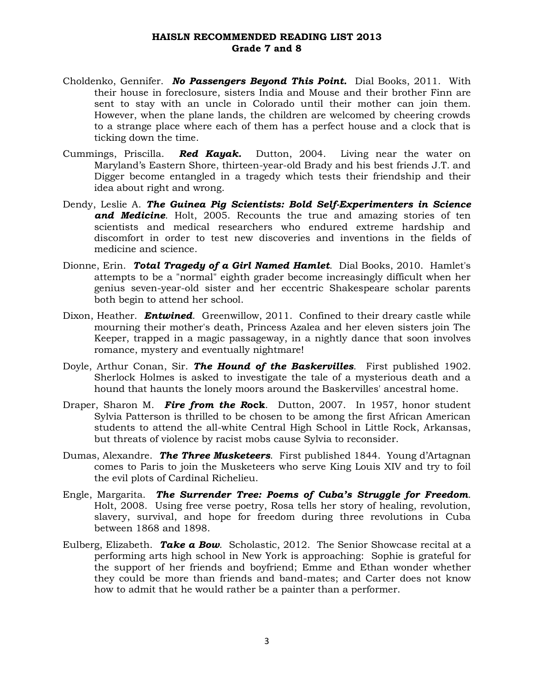- Choldenko, Gennifer. *No Passengers Beyond This Point.* Dial Books, 2011. With their house in foreclosure, sisters India and Mouse and their brother Finn are sent to stay with an uncle in Colorado until their mother can join them. However, when the plane lands, the children are welcomed by cheering crowds to a strange place where each of them has a perfect house and a clock that is ticking down the time.
- Cummings, Priscilla. *Red Kayak.* Dutton, 2004. Living near the water on Maryland's Eastern Shore, thirteen-year-old Brady and his best friends J.T. and Digger become entangled in a tragedy which tests their friendship and their idea about right and wrong.
- Dendy, Leslie A. *The Guinea Pig Scientists: Bold Self-Experimenters in Science and Medicine*. Holt, 2005. Recounts the true and amazing stories of ten scientists and medical researchers who endured extreme hardship and discomfort in order to test new discoveries and inventions in the fields of medicine and science.
- Dionne, Erin. *Total Tragedy of a Girl Named Hamlet*. Dial Books, 2010. Hamlet's attempts to be a "normal" eighth grader become increasingly difficult when her genius seven-year-old sister and her eccentric Shakespeare scholar parents both begin to attend her school.
- Dixon, Heather. *Entwined*. Greenwillow, 2011. Confined to their dreary castle while mourning their mother's death, Princess Azalea and her eleven sisters join The Keeper, trapped in a magic passageway, in a nightly dance that soon involves romance, mystery and eventually nightmare!
- Doyle, Arthur Conan, Sir. *The Hound of the Baskervilles*. First published 1902. Sherlock Holmes is asked to investigate the tale of a mysterious death and a hound that haunts the lonely moors around the Baskervilles' ancestral home.
- Draper, Sharon M. *Fire from the R***ock**. Dutton, 2007. In 1957, honor student Sylvia Patterson is thrilled to be chosen to be among the first African American students to attend the all-white Central High School in Little Rock, Arkansas, but threats of violence by racist mobs cause Sylvia to reconsider.
- Dumas, Alexandre. *The Three Musketeers*. First published 1844. Young d'Artagnan comes to Paris to join the Musketeers who serve King Louis XIV and try to foil the evil plots of Cardinal Richelieu.
- Engle, Margarita. *The Surrender Tree: Poems of Cuba's Struggle for Freedom*. Holt, 2008. Using free verse poetry, Rosa tells her story of healing, revolution, slavery, survival, and hope for freedom during three revolutions in Cuba between 1868 and 1898.
- Eulberg, Elizabeth. *Take a Bow*. Scholastic, 2012. The Senior Showcase recital at a performing arts high school in New York is approaching: Sophie is grateful for the support of her friends and boyfriend; Emme and Ethan wonder whether they could be more than friends and band-mates; and Carter does not know how to admit that he would rather be a painter than a performer.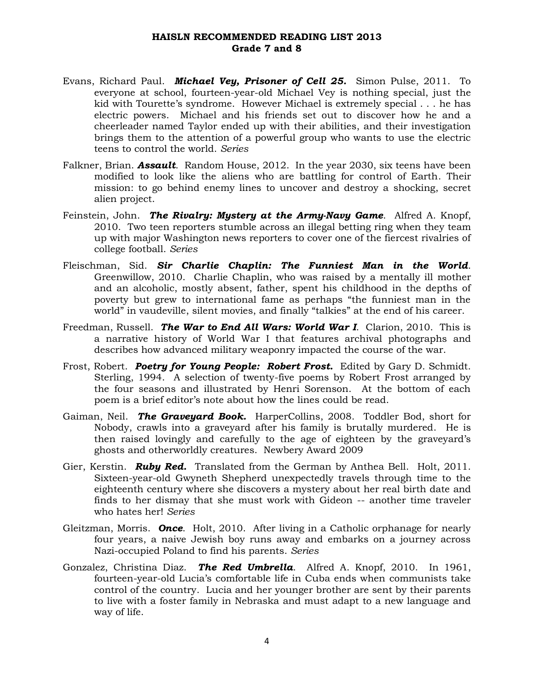- Evans, Richard Paul. *Michael Vey, Prisoner of Cell 25.* Simon Pulse, 2011. To everyone at school, fourteen-year-old Michael Vey is nothing special, just the kid with Tourette's syndrome. However Michael is extremely special . . . he has electric powers. Michael and his friends set out to discover how he and a cheerleader named Taylor ended up with their abilities, and their investigation brings them to the attention of a powerful group who wants to use the electric teens to control the world. *Series*
- Falkner, Brian. *Assault*. Random House, 2012. In the year 2030, six teens have been modified to look like the aliens who are battling for control of Earth. Their mission: to go behind enemy lines to uncover and destroy a shocking, secret alien project.
- Feinstein, John. *The Rivalry: Mystery at the Army-Navy Game*. Alfred A. Knopf, 2010. Two teen reporters stumble across an illegal betting ring when they team up with major Washington news reporters to cover one of the fiercest rivalries of college football. *Series*
- Fleischman, Sid. *Sir Charlie Chaplin: The Funniest Man in the World*. Greenwillow, 2010. Charlie Chaplin, who was raised by a mentally ill mother and an alcoholic, mostly absent, father, spent his childhood in the depths of poverty but grew to international fame as perhaps "the funniest man in the world" in vaudeville, silent movies, and finally "talkies" at the end of his career.
- Freedman, Russell. *The War to End All Wars: World War I*. Clarion, 2010. This is a narrative history of World War I that features archival photographs and describes how advanced military weaponry impacted the course of the war.
- Frost, Robert. *Poetry for Young People: Robert Frost.* Edited by Gary D. Schmidt. Sterling, 1994. A selection of twenty-five poems by Robert Frost arranged by the four seasons and illustrated by Henri Sorenson. At the bottom of each poem is a brief editor's note about how the lines could be read.
- Gaiman, Neil. *The Graveyard Book.* HarperCollins, 2008. Toddler Bod, short for Nobody, crawls into a graveyard after his family is brutally murdered. He is then raised lovingly and carefully to the age of eighteen by the graveyard's ghosts and otherworldly creatures. Newbery Award 2009
- Gier, Kerstin. *Ruby Red.* Translated from the German by Anthea Bell. Holt, 2011. Sixteen-year-old Gwyneth Shepherd unexpectedly travels through time to the eighteenth century where she discovers a mystery about her real birth date and finds to her dismay that she must work with Gideon -- another time traveler who hates her! *Series*
- Gleitzman, Morris. *Once*. Holt, 2010. After living in a Catholic orphanage for nearly four years, a naive Jewish boy runs away and embarks on a journey across Nazi-occupied Poland to find his parents. *Series*
- Gonzalez, Christina Diaz. *The Red Umbrella*. Alfred A. Knopf, 2010. In 1961, fourteen-year-old Lucia's comfortable life in Cuba ends when communists take control of the country. Lucia and her younger brother are sent by their parents to live with a foster family in Nebraska and must adapt to a new language and way of life.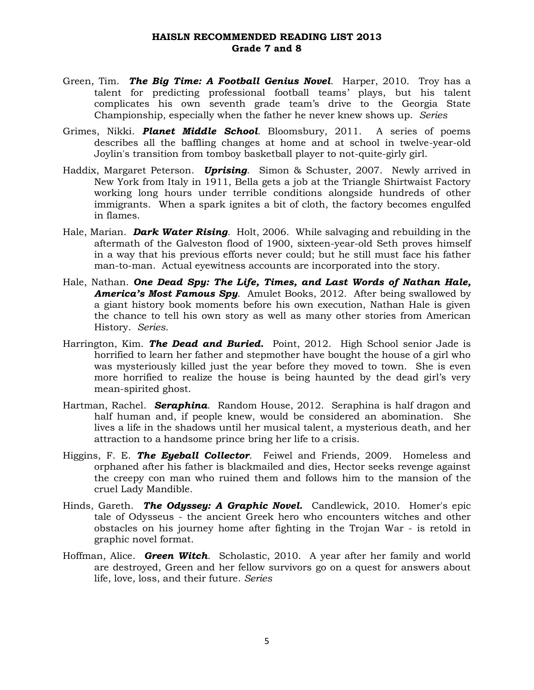- Green, Tim. *The Big Time: A Football Genius Novel*. Harper, 2010. Troy has a talent for predicting professional football teams' plays, but his talent complicates his own seventh grade team's drive to the Georgia State Championship, especially when the father he never knew shows up. *Series*
- Grimes, Nikki. *Planet Middle School*. Bloomsbury, 2011. A series of poems describes all the baffling changes at home and at school in twelve-year-old Joylin's transition from tomboy basketball player to not-quite-girly girl.
- Haddix, Margaret Peterson. *Uprising*. Simon & Schuster, 2007. Newly arrived in New York from Italy in 1911, Bella gets a job at the Triangle Shirtwaist Factory working long hours under terrible conditions alongside hundreds of other immigrants. When a spark ignites a bit of cloth, the factory becomes engulfed in flames.
- Hale, Marian. *Dark Water Rising*. Holt, 2006. While salvaging and rebuilding in the aftermath of the Galveston flood of 1900, sixteen-year-old Seth proves himself in a way that his previous efforts never could; but he still must face his father man-to-man. Actual eyewitness accounts are incorporated into the story.
- Hale, Nathan. *One Dead Spy: The Life, Times, and Last Words of Nathan Hale, America's Most Famous Spy*. Amulet Books, 2012. After being swallowed by a giant history book moments before his own execution, Nathan Hale is given the chance to tell his own story as well as many other stories from American History. *Series.*
- Harrington, Kim. *The Dead and Buried.* Point, 2012. High School senior Jade is horrified to learn her father and stepmother have bought the house of a girl who was mysteriously killed just the year before they moved to town. She is even more horrified to realize the house is being haunted by the dead girl's very mean-spirited ghost.
- Hartman, Rachel. *Seraphina*. Random House, 2012. Seraphina is half dragon and half human and, if people knew, would be considered an abomination. She lives a life in the shadows until her musical talent, a mysterious death, and her attraction to a handsome prince bring her life to a crisis.
- Higgins, F. E. *The Eyeball Collector*. Feiwel and Friends, 2009. Homeless and orphaned after his father is blackmailed and dies, Hector seeks revenge against the creepy con man who ruined them and follows him to the mansion of the cruel Lady Mandible.
- Hinds, Gareth. *The Odyssey: A Graphic Novel.* Candlewick, 2010. Homer's epic tale of Odysseus - the ancient Greek hero who encounters witches and other obstacles on his journey home after fighting in the Trojan War - is retold in graphic novel format.
- Hoffman, Alice. *Green Witch*. Scholastic, 2010. A year after her family and world are destroyed, Green and her fellow survivors go on a quest for answers about life, love, loss, and their future. *Series*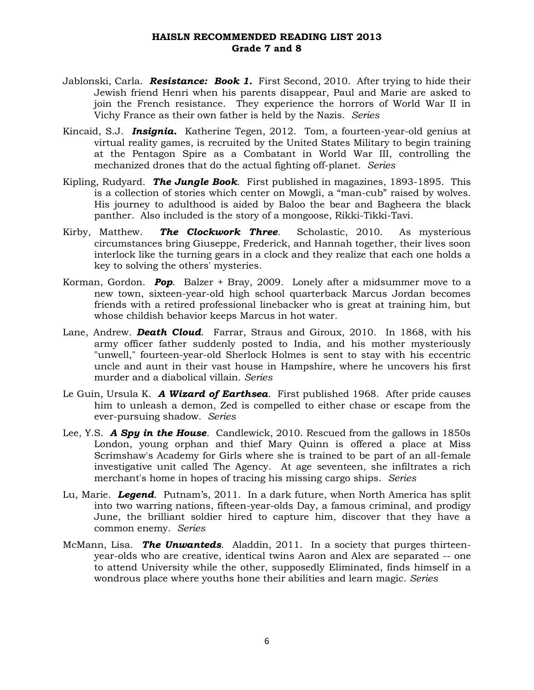- Jablonski, Carla. *Resistance: Book 1.* First Second, 2010. After trying to hide their Jewish friend Henri when his parents disappear, Paul and Marie are asked to join the French resistance. They experience the horrors of World War II in Vichy France as their own father is held by the Nazis. *Series*
- Kincaid, S.J. *Insignia.* Katherine Tegen, 2012. Tom, a fourteen-year-old genius at virtual reality games, is recruited by the United States Military to begin training at the Pentagon Spire as a Combatant in World War III, controlling the mechanized drones that do the actual fighting off-planet. *Series*
- Kipling, Rudyard. *The Jungle Book*. First published in magazines, 1893-1895. This is a collection of stories which center on Mowgli, a "man-cub" raised by wolves. His journey to adulthood is aided by Baloo the bear and Bagheera the black panther. Also included is the story of a mongoose, Rikki-Tikki-Tavi.
- Kirby, Matthew. *The Clockwork Three*. Scholastic, 2010. As mysterious circumstances bring Giuseppe, Frederick, and Hannah together, their lives soon interlock like the turning gears in a clock and they realize that each one holds a key to solving the others' mysteries.
- Korman, Gordon. *Pop*. Balzer + Bray, 2009. Lonely after a midsummer move to a new town, sixteen-year-old high school quarterback Marcus Jordan becomes friends with a retired professional linebacker who is great at training him, but whose childish behavior keeps Marcus in hot water.
- Lane, Andrew. *Death Cloud*. Farrar, Straus and Giroux, 2010. In 1868, with his army officer father suddenly posted to India, and his mother mysteriously "unwell," fourteen-year-old Sherlock Holmes is sent to stay with his eccentric uncle and aunt in their vast house in Hampshire, where he uncovers his first murder and a diabolical villain. *Series*
- Le Guin, Ursula K. *A Wizard of Earthsea*. First published 1968. After pride causes him to unleash a demon, Zed is compelled to either chase or escape from the ever-pursuing shadow. *Series*
- Lee, Y.S. *A Spy in the House*. Candlewick, 2010. Rescued from the gallows in 1850s London, young orphan and thief Mary Quinn is offered a place at Miss Scrimshaw's Academy for Girls where she is trained to be part of an all-female investigative unit called The Agency. At age seventeen, she infiltrates a rich merchant's home in hopes of tracing his missing cargo ships. *Series*
- Lu, Marie. *Legend*. Putnam's, 2011. In a dark future, when North America has split into two warring nations, fifteen-year-olds Day, a famous criminal, and prodigy June, the brilliant soldier hired to capture him, discover that they have a common enemy. *Series*
- McMann, Lisa. *The Unwanteds*. Aladdin, 2011. In a society that purges thirteenyear-olds who are creative, identical twins Aaron and Alex are separated -- one to attend University while the other, supposedly Eliminated, finds himself in a wondrous place where youths hone their abilities and learn magic. *Series*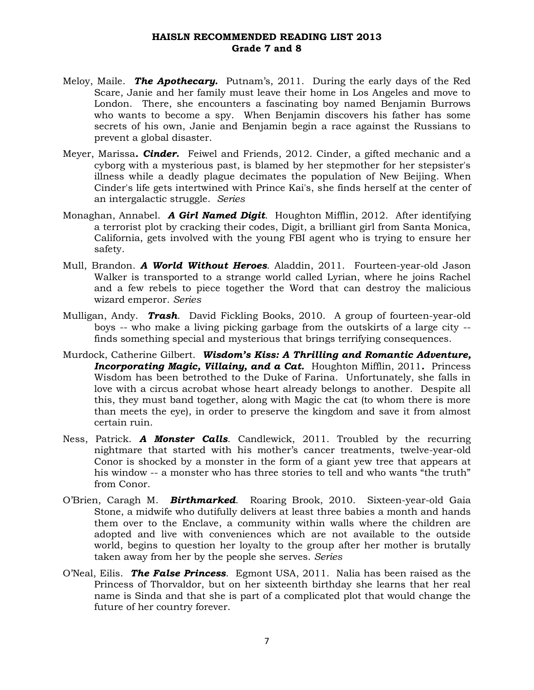- Meloy, Maile. *The Apothecary.* Putnam's, 2011. During the early days of the Red Scare, Janie and her family must leave their home in Los Angeles and move to London. There, she encounters a fascinating boy named Benjamin Burrows who wants to become a spy. When Benjamin discovers his father has some secrets of his own, Janie and Benjamin begin a race against the Russians to prevent a global disaster.
- Meyer, Marissa*. Cinder***.** Feiwel and Friends, 2012. Cinder, a gifted mechanic and a cyborg with a mysterious past, is blamed by her stepmother for her stepsister's illness while a deadly plague decimates the population of New Beijing. When Cinder's life gets intertwined with Prince Kai's, she finds herself at the center of an intergalactic struggle. *Series*
- Monaghan, Annabel. *A Girl Named Digit*. Houghton Mifflin, 2012. After identifying a terrorist plot by cracking their codes, Digit, a brilliant girl from Santa Monica, California, gets involved with the young FBI agent who is trying to ensure her safety.
- Mull, Brandon. *A World Without Heroes*. Aladdin, 2011. Fourteen-year-old Jason Walker is transported to a strange world called Lyrian, where he joins Rachel and a few rebels to piece together the Word that can destroy the malicious wizard emperor. *Series*
- Mulligan, Andy. *Trash*. David Fickling Books, 2010. A group of fourteen-year-old boys -- who make a living picking garbage from the outskirts of a large city - finds something special and mysterious that brings terrifying consequences.
- Murdock, Catherine Gilbert. *Wisdom's Kiss: A Thrilling and Romantic Adventure, Incorporating Magic, Villainy, and a Cat.* Houghton Mifflin, 2011*.* Princess Wisdom has been betrothed to the Duke of Farina. Unfortunately, she falls in love with a circus acrobat whose heart already belongs to another. Despite all this, they must band together, along with Magic the cat (to whom there is more than meets the eye), in order to preserve the kingdom and save it from almost certain ruin.
- Ness, Patrick. *A Monster Calls*. Candlewick, 2011. Troubled by the recurring nightmare that started with his mother's cancer treatments, twelve-year-old Conor is shocked by a monster in the form of a giant yew tree that appears at his window -- a monster who has three stories to tell and who wants "the truth" from Conor.
- O'Brien, Caragh M. *Birthmarked*. Roaring Brook, 2010. Sixteen-year-old Gaia Stone, a midwife who dutifully delivers at least three babies a month and hands them over to the Enclave, a community within walls where the children are adopted and live with conveniences which are not available to the outside world, begins to question her loyalty to the group after her mother is brutally taken away from her by the people she serves. *Series*
- O'Neal, Eilis. *The False Princess*. Egmont USA, 2011. Nalia has been raised as the Princess of Thorvaldor, but on her sixteenth birthday she learns that her real name is Sinda and that she is part of a complicated plot that would change the future of her country forever.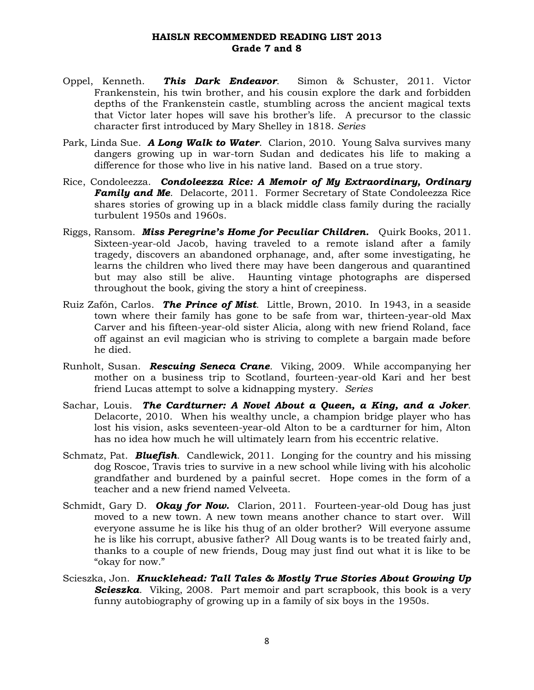- Oppel, Kenneth. *This Dark Endeavor*. Simon & Schuster, 2011. Victor Frankenstein, his twin brother, and his cousin explore the dark and forbidden depths of the Frankenstein castle, stumbling across the ancient magical texts that Victor later hopes will save his brother's life. A precursor to the classic character first introduced by Mary Shelley in 1818. *Series*
- Park, Linda Sue. *A Long Walk to Water*. Clarion, 2010. Young Salva survives many dangers growing up in war-torn Sudan and dedicates his life to making a difference for those who live in his native land. Based on a true story.
- Rice, Condoleezza. *Condoleezza Rice: A Memoir of My Extraordinary, Ordinary* **Family and Me.** Delacorte, 2011. Former Secretary of State Condoleezza Rice shares stories of growing up in a black middle class family during the racially turbulent 1950s and 1960s.
- Riggs, Ransom. *Miss Peregrine's Home for Peculiar Children.* Quirk Books, 2011. Sixteen-year-old Jacob, having traveled to a remote island after a family tragedy, discovers an abandoned orphanage, and, after some investigating, he learns the children who lived there may have been dangerous and quarantined but may also still be alive. Haunting vintage photographs are dispersed throughout the book, giving the story a hint of creepiness.
- Ruiz Zafón, Carlos. *The Prince of Mist*. Little, Brown, 2010. In 1943, in a seaside town where their family has gone to be safe from war, thirteen-year-old Max Carver and his fifteen-year-old sister Alicia, along with new friend Roland, face off against an evil magician who is striving to complete a bargain made before he died.
- Runholt, Susan. *Rescuing Seneca Crane*. Viking, 2009. While accompanying her mother on a business trip to Scotland, fourteen-year-old Kari and her best friend Lucas attempt to solve a kidnapping mystery. *Series*
- Sachar, Louis. *The Cardturner: A Novel About a Queen, a King, and a Joker*. Delacorte, 2010. When his wealthy uncle, a champion bridge player who has lost his vision, asks seventeen-year-old Alton to be a cardturner for him, Alton has no idea how much he will ultimately learn from his eccentric relative.
- Schmatz, Pat. *Bluefish*. Candlewick, 2011. Longing for the country and his missing dog Roscoe, Travis tries to survive in a new school while living with his alcoholic grandfather and burdened by a painful secret. Hope comes in the form of a teacher and a new friend named Velveeta.
- Schmidt, Gary D. *Okay for Now.* Clarion, 2011. Fourteen-year-old Doug has just moved to a new town. A new town means another chance to start over. Will everyone assume he is like his thug of an older brother? Will everyone assume he is like his corrupt, abusive father? All Doug wants is to be treated fairly and, thanks to a couple of new friends, Doug may just find out what it is like to be "okay for now."
- Scieszka, Jon. *Knucklehead: Tall Tales & Mostly True Stories About Growing Up Scieszka*. Viking, 2008. Part memoir and part scrapbook, this book is a very funny autobiography of growing up in a family of six boys in the 1950s.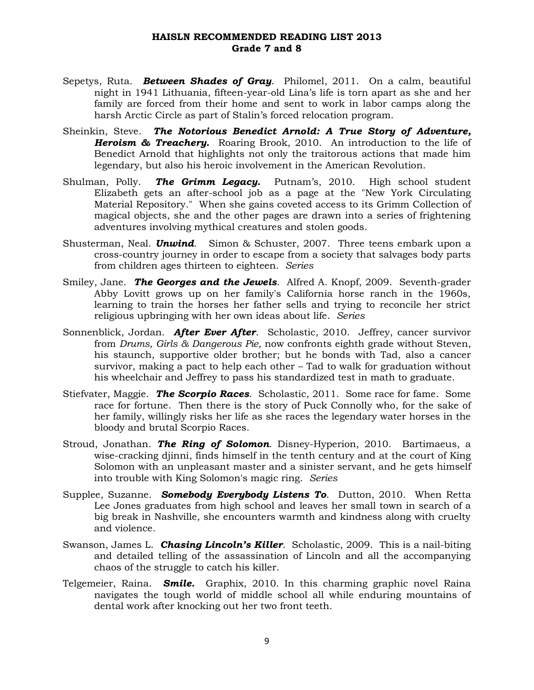- Sepetys, Ruta*. Between Shades of Gray*. Philomel, 2011. On a calm, beautiful night in 1941 Lithuania, fifteen-year-old Lina's life is torn apart as she and her family are forced from their home and sent to work in labor camps along the harsh Arctic Circle as part of Stalin's forced relocation program.
- Sheinkin, Steve. *The Notorious Benedict Arnold: A True Story of Adventure, Heroism & Treachery.* Roaring Brook, 2010. An introduction to the life of Benedict Arnold that highlights not only the traitorous actions that made him legendary, but also his heroic involvement in the American Revolution.
- Shulman, Polly. *The Grimm Legacy.* Putnam's, 2010. High school student Elizabeth gets an after-school job as a page at the "New York Circulating Material Repository." When she gains coveted access to its Grimm Collection of magical objects, she and the other pages are drawn into a series of frightening adventures involving mythical creatures and stolen goods.
- Shusterman, Neal. *Unwind*. Simon & Schuster, 2007. Three teens embark upon a cross-country journey in order to escape from a society that salvages body parts from children ages thirteen to eighteen. *Series*
- Smiley, Jane. *The Georges and the Jewels*. Alfred A. Knopf, 2009. Seventh-grader Abby Lovitt grows up on her family's California horse ranch in the 1960s, learning to train the horses her father sells and trying to reconcile her strict religious upbringing with her own ideas about life. *Series*
- Sonnenblick, Jordan. *After Ever After*. Scholastic, 2010. Jeffrey, cancer survivor from *Drums, Girls & Dangerous Pie,* now confronts eighth grade without Steven, his staunch, supportive older brother; but he bonds with Tad, also a cancer survivor, making a pact to help each other – Tad to walk for graduation without his wheelchair and Jeffrey to pass his standardized test in math to graduate.
- Stiefvater, Maggie. *The Scorpio Races*. Scholastic, 2011. Some race for fame. Some race for fortune. Then there is the story of Puck Connolly who, for the sake of her family, willingly risks her life as she races the legendary water horses in the bloody and brutal Scorpio Races.
- Stroud, Jonathan. *The Ring of Solomon*. Disney-Hyperion, 2010. Bartimaeus, a wise-cracking djinni, finds himself in the tenth century and at the court of King Solomon with an unpleasant master and a sinister servant, and he gets himself into trouble with King Solomon's magic ring. *Series*
- Supplee, Suzanne. *Somebody Everybody Listens To*. Dutton, 2010. When Retta Lee Jones graduates from high school and leaves her small town in search of a big break in Nashville, she encounters warmth and kindness along with cruelty and violence.
- Swanson, James L. *Chasing Lincoln's Killer*. Scholastic, 2009. This is a nail-biting and detailed telling of the assassination of Lincoln and all the accompanying chaos of the struggle to catch his killer.
- Telgemeier, Raina. *Smile.* Graphix, 2010. In this charming graphic novel Raina navigates the tough world of middle school all while enduring mountains of dental work after knocking out her two front teeth.